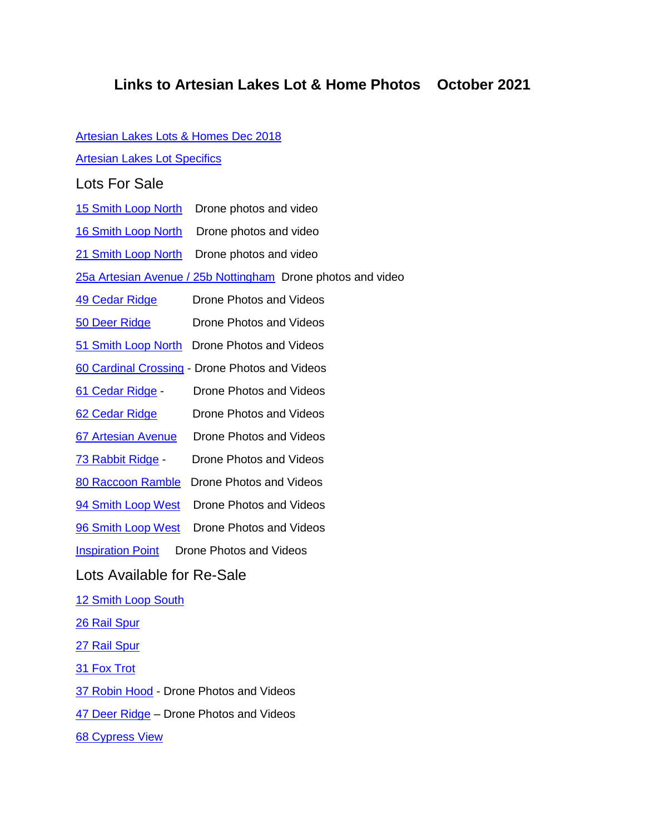## **Links to Artesian Lakes Lot & Home Photos October 2021**

| <b>Artesian Lakes Lots &amp; Homes Dec 2018</b>             |                                                |
|-------------------------------------------------------------|------------------------------------------------|
| <b>Artesian Lakes Lot Specifics</b>                         |                                                |
| <b>Lots For Sale</b>                                        |                                                |
| <b>15 Smith Loop North</b>                                  | Drone photos and video                         |
| <b>16 Smith Loop North</b>                                  | Drone photos and video                         |
| 21 Smith Loop North                                         | Drone photos and video                         |
| 25a Artesian Avenue / 25b Nottingham Drone photos and video |                                                |
| <b>49 Cedar Ridge</b>                                       | Drone Photos and Videos                        |
| <b>50 Deer Ridge</b>                                        | Drone Photos and Videos                        |
| 51 Smith Loop North                                         | Drone Photos and Videos                        |
|                                                             | 60 Cardinal Crossing - Drone Photos and Videos |
| <u>61 Cedar Ridge</u> -                                     | Drone Photos and Videos                        |
| 62 Cedar Ridge                                              | Drone Photos and Videos                        |
| 67 Artesian Avenue                                          | Drone Photos and Videos                        |
| <u>73 Rabbit Ridge</u> -                                    | Drone Photos and Videos                        |
| 80 Raccoon Ramble                                           | Drone Photos and Videos                        |
| 94 Smith Loop West                                          | Drone Photos and Videos                        |
| 96 Smith Loop West                                          | Drone Photos and Videos                        |
| Drone Photos and Videos<br><b>Inspiration Point</b>         |                                                |
| Lots Available for Re-Sale                                  |                                                |
| 12 Smith Loop South                                         |                                                |
| <u> 26 Rail Spur</u>                                        |                                                |
| <u> 27 Rail Spur</u>                                        |                                                |
| <b>31 Fox Trot</b>                                          |                                                |
| 37 Robin Hood - Drone Photos and Videos                     |                                                |
| 47 Deer Ridge – Drone Photos and Videos                     |                                                |
| <b>68 Cypress View</b>                                      |                                                |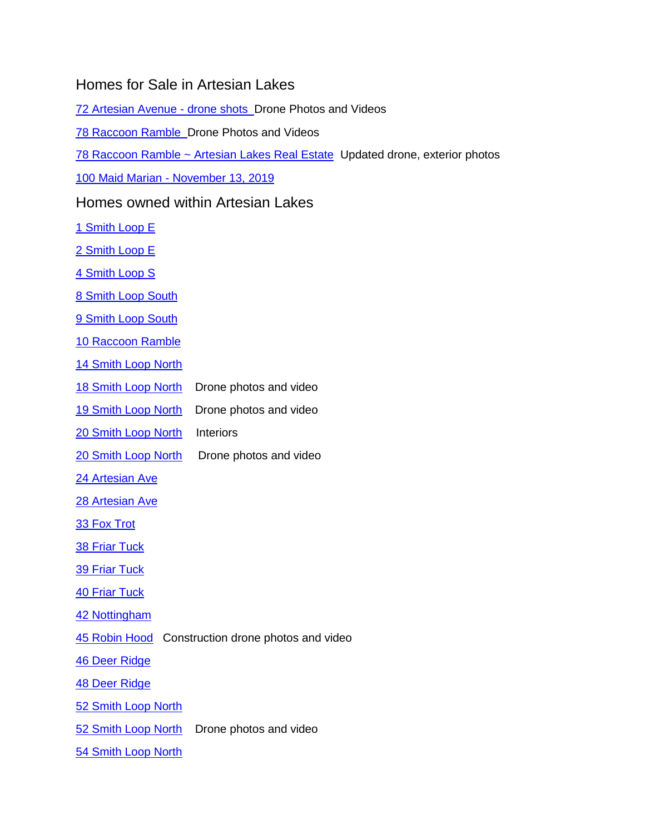## Homes for Sale in Artesian Lakes

[72 Artesian Avenue -](https://photos.app.goo.gl/wfCq9nroaiVMf4ap8) drone shots Drone Photos and Videos

[78 Raccoon Ramble](https://goo.gl/photos/9Yp6PZNN58qK4XKs7) Drone Photos and Videos

[78 Raccoon Ramble ~ Artesian Lakes Real Estate](http://realestate.artesianlakes.com/available-properties/78-raccoon-ramble/) Updated drone, exterior photos

100 Maid Marian - [November 13, 2019](https://photos.app.goo.gl/x9ouoLFeJhe3QxSv9) 

## Homes owned within Artesian Lakes

- [1 Smith Loop E](https://photos.app.goo.gl/Ncmnxh9HST7ic8qM2)
- [2 Smith Loop E](https://photos.app.goo.gl/rGZbYubq8RczoSbM2)
- [4 Smith Loop S](https://photos.app.goo.gl/EDKv2agZDhxtSKBd2)

[8 Smith Loop South](https://photos.app.goo.gl/L1iMu90iSHfVpNr63)

[9 Smith Loop South](https://goo.gl/photos/gNvGCJJQmvNNuyGz6)

10 [Raccoon Ramble](https://photos.app.goo.gl/tRErZeWDbAlLgMdA3)

[14 Smith Loop North](https://photos.app.goo.gl/3Jvxz4Z7s7mWyoEm8)

- [18 Smith Loop North](https://photos.app.goo.gl/ejNnS3k29YCu3RKfA) Drone photos and video
- [19 Smith Loop North](https://photos.app.goo.gl/ASRCuJXC6zKZN1xLA) Drone photos and video
- [20 Smith Loop North Interiors](https://photos.app.goo.gl/J3Vfg0SNmVHoo0V62)
- [20 Smith Loop North](https://photos.app.goo.gl/so2Gf4saLhTp9rV57) Drone photos and video
- [24 Artesian Ave](https://photos.app.goo.gl/bobXkvzfkNdHKOar1)

[28 Artesian Ave](https://photos.app.goo.gl/Pxck776kAMgjBk7y2)

- [33 Fox Trot](https://photos.app.goo.gl/3HbyPhDxxzAGcBnW2)
- 38 [Friar Tuck](https://photos.app.goo.gl/aeo1gUQl2JHuZPgm1)
- [39 Friar Tuck](https://goo.gl/photos/k7zXaozWsE36N5d89)

[40 Friar Tuck](https://goo.gl/photos/3DwwbLYR2BzCPzph6)

[42 Nottingham](https://photos.app.goo.gl/Z2CHmaoJ7s5MY81C3)

[45 Robin Hood](https://photos.app.goo.gl/hnwSNAbBYtbwK24x8) Construction drone photos and video

[46 Deer Ridge](https://photos.app.goo.gl/aUeEXNxrVmbe1tIg1)

[48 Deer Ridge](https://photos.app.goo.gl/DBCSQ2H7QvCBuWnq6)

[52 Smith Loop North](https://photos.app.goo.gl/eiGGKQt3LxVnNt1x5)

[52 Smith Loop North](https://photos.app.goo.gl/fnVRV23zdDVtfXDh6) Drone photos and video

54 Smith [Loop North](https://photos.app.goo.gl/dKodBHcrusMddze73)